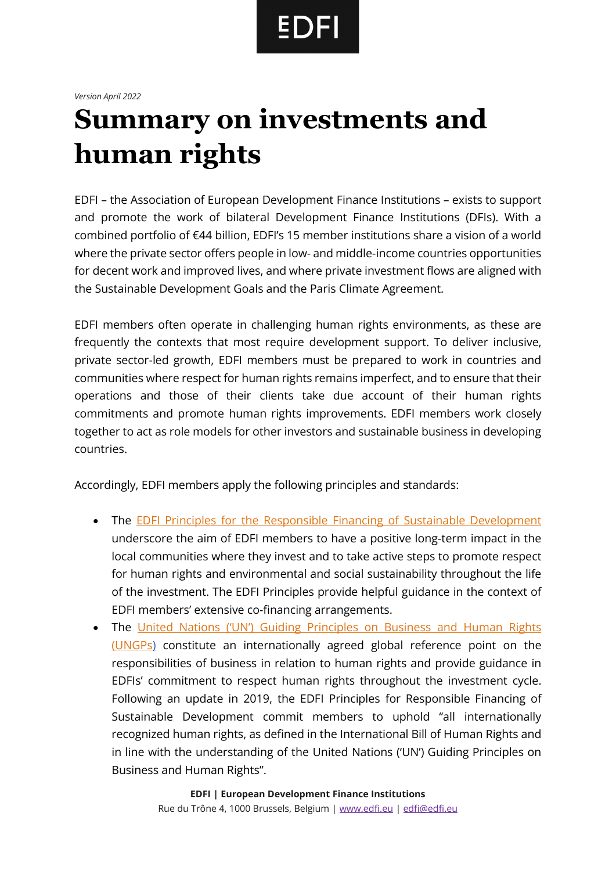## **EDFI**

## *Version April 2022*

## **Summary on investments and human rights**

EDFI – the Association of European Development Finance Institutions – exists to support and promote the work of bilateral Development Finance Institutions (DFIs). With a combined portfolio of €44 billion, EDFI's 15 member institutions share a vision of a world where the private sector offers people in low- and middle-income countries opportunities for decent work and improved lives, and where private investment flows are aligned with the Sustainable Development Goals and the Paris Climate Agreement.

EDFI members often operate in challenging human rights environments, as these are frequently the contexts that most require development support. To deliver inclusive, private sector-led growth, EDFI members must be prepared to work in countries and communities where respect for human rights remains imperfect, and to ensure that their operations and those of their clients take due account of their human rights commitments and promote human rights improvements. EDFI members work closely together to act as role models for other investors and sustainable business in developing countries.

Accordingly, EDFI members apply the following principles and standards:

- The [EDFI Principles for the Responsible Financing of Sustainable Development](https://edfi-website-v1.s3.fr-par.scw.cloud/uploads/2017/09/EDFI-Responsible-Financing-SDG_Principles_final_190515-1.pdf) underscore the aim of EDFI members to have a positive long-term impact in the local communities where they invest and to take active steps to promote respect for human rights and environmental and social sustainability throughout the life of the investment. The EDFI Principles provide helpful guidance in the context of EDFI members' extensive co-financing arrangements.
- The [United Nations \('UN'\) Guiding Principles on Business and Human Rights](https://www.ohchr.org/documents/publications/guidingprinciplesbusinesshr_en.pdf)  [\(UNGPs\)](https://www.ohchr.org/documents/publications/guidingprinciplesbusinesshr_en.pdf) constitute an internationally agreed global reference point on the responsibilities of business in relation to human rights and provide guidance in EDFIs' commitment to respect human rights throughout the investment cycle. Following an update in 2019, the EDFI Principles for Responsible Financing of Sustainable Development commit members to uphold "all internationally recognized human rights, as defined in the International Bill of Human Rights and in line with the understanding of the United Nations ('UN') Guiding Principles on Business and Human Rights".